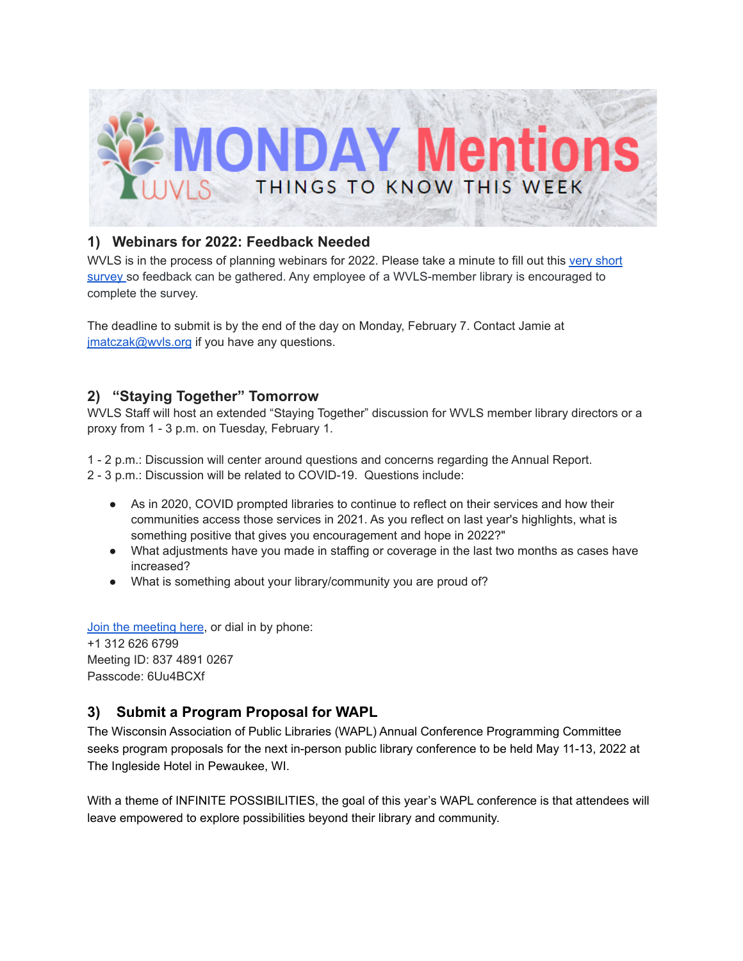

# **1) Webinars for 2022: Feedback Needed**

WVLS is in the process of planning webinars for 2022. Please take a minute to fill out this very [short](https://forms.gle/6u7hz7s1NxmMzdmF8) [survey](https://forms.gle/6u7hz7s1NxmMzdmF8) so feedback can be gathered. Any employee of a WVLS-member library is encouraged to complete the survey.

The deadline to submit is by the end of the day on Monday, February 7. Contact Jamie at [jmatczak@wvls.org](mailto:jmatczak@wvls.org) if you have any questions.

# **2) "Staying Together" Tomorrow**

WVLS Staff will host an extended "Staying Together" discussion for WVLS member library directors or a proxy from 1 - 3 p.m. on Tuesday, February 1.

1 - 2 p.m.: Discussion will center around questions and concerns regarding the Annual Report.

2 - 3 p.m.: Discussion will be related to COVID-19. Questions include:

- As in 2020, COVID prompted libraries to continue to reflect on their services and how their communities access those services in 2021. As you reflect on last year's highlights, what is something positive that gives you encouragement and hope in 2022?"
- What adjustments have you made in staffing or coverage in the last two months as cases have increased?
- What is something about your library/community you are proud of?

Join the [meeting](https://us02web.zoom.us/j/83748910267?pwd=UXZKM1BBOGUwbUpmVmRiT2lxM3NoQT09) here, or dial in by phone: +1 312 626 6799 Meeting ID: 837 4891 0267

Passcode: 6Uu4BCXf

# **3) Submit a Program Proposal for WAPL**

The Wisconsin Association of Public Libraries (WAPL) Annual Conference Programming Committee seeks program proposals for the next in-person public library conference to be held May 11-13, 2022 at The Ingleside Hotel in Pewaukee, WI.

With a theme of INFINITE POSSIBILITIES, the goal of this year's WAPL conference is that attendees will leave empowered to explore possibilities beyond their library and community.